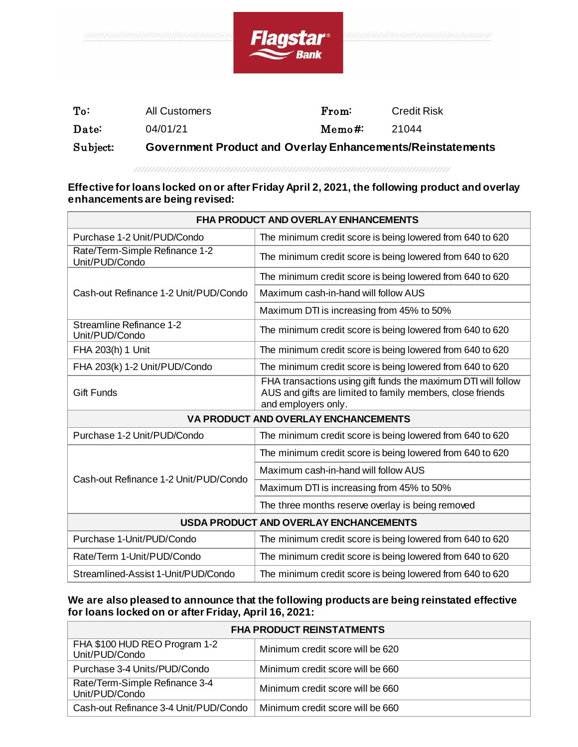

| Subject:        | Government Product and Overlay Enhancements/Reinstatements |        |                    |
|-----------------|------------------------------------------------------------|--------|--------------------|
| Date:           | 04/01/21                                                   | Memo#: | 21044              |
| $\textbf{T}$ o: | All Customers                                              | From:  | <b>Credit Risk</b> |

## **Effective for loans locked on or after Friday April 2, 2021, the following product and overlay enhancements are being revised:**

| <b>FHA PRODUCT AND OVERLAY ENHANCEMENTS</b>       |                                                                                                                                                    |  |  |  |
|---------------------------------------------------|----------------------------------------------------------------------------------------------------------------------------------------------------|--|--|--|
| Purchase 1-2 Unit/PUD/Condo                       | The minimum credit score is being lowered from 640 to 620                                                                                          |  |  |  |
| Rate/Term-Simple Refinance 1-2<br>Unit/PUD/Condo  | The minimum credit score is being lowered from 640 to 620                                                                                          |  |  |  |
|                                                   | The minimum credit score is being lowered from 640 to 620                                                                                          |  |  |  |
| Cash-out Refinance 1-2 Unit/PUD/Condo             | Maximum cash-in-hand will follow AUS                                                                                                               |  |  |  |
|                                                   | Maximum DTI is increasing from 45% to 50%                                                                                                          |  |  |  |
| <b>Streamline Refinance 1-2</b><br>Unit/PUD/Condo | The minimum credit score is being lowered from 640 to 620                                                                                          |  |  |  |
| FHA 203(h) 1 Unit                                 | The minimum credit score is being lowered from 640 to 620                                                                                          |  |  |  |
| FHA 203(k) 1-2 Unit/PUD/Condo                     | The minimum credit score is being lowered from 640 to 620                                                                                          |  |  |  |
| <b>Gift Funds</b>                                 | FHA transactions using gift funds the maximum DTI will follow<br>AUS and gifts are limited to family members, close friends<br>and employers only. |  |  |  |
| VA PRODUCT AND OVERLAY ENCHANCEMENTS              |                                                                                                                                                    |  |  |  |
| Purchase 1-2 Unit/PUD/Condo                       | The minimum credit score is being lowered from 640 to 620                                                                                          |  |  |  |
|                                                   | The minimum credit score is being lowered from 640 to 620                                                                                          |  |  |  |
| Cash-out Refinance 1-2 Unit/PUD/Condo             | Maximum cash-in-hand will follow AUS                                                                                                               |  |  |  |
|                                                   | Maximum DTI is increasing from 45% to 50%                                                                                                          |  |  |  |
|                                                   | The three months reserve overlay is being removed                                                                                                  |  |  |  |
| <b>USDA PRODUCT AND OVERLAY ENCHANCEMENTS</b>     |                                                                                                                                                    |  |  |  |
| Purchase 1-Unit/PUD/Condo                         | The minimum credit score is being lowered from 640 to 620                                                                                          |  |  |  |
| Rate/Term 1-Unit/PUD/Condo                        | The minimum credit score is being lowered from 640 to 620                                                                                          |  |  |  |
| Streamlined-Assist 1-Unit/PUD/Condo               | The minimum credit score is being lowered from 640 to 620                                                                                          |  |  |  |

## **We are also pleased to announce that the following products are being reinstated effective for loans locked on or after Friday, April 16, 2021:**

| <b>FHA PRODUCT REINSTATMENTS</b>                 |                                  |  |
|--------------------------------------------------|----------------------------------|--|
| FHA \$100 HUD REO Program 1-2<br>Unit/PUD/Condo  | Minimum credit score will be 620 |  |
| Purchase 3-4 Units/PUD/Condo                     | Minimum credit score will be 660 |  |
| Rate/Term-Simple Refinance 3-4<br>Unit/PUD/Condo | Minimum credit score will be 660 |  |
| Cash-out Refinance 3-4 Unit/PUD/Condo            | Minimum credit score will be 660 |  |